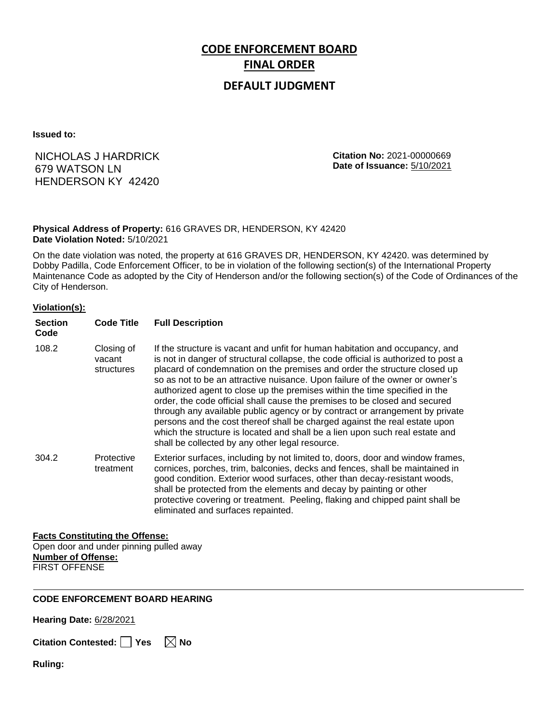# **CODE ENFORCEMENT BOARD FINAL ORDER**

### **DEFAULT JUDGMENT**

**Issued to:**

## NICHOLAS J HARDRICK 679 WATSON LN HENDERSON KY 42420

**Citation No:** 2021-00000669 **Date of Issuance:** 5/10/2021

#### **Physical Address of Property:** 616 GRAVES DR, HENDERSON, KY 42420 **Date Violation Noted:** 5/10/2021

On the date violation was noted, the property at 616 GRAVES DR, HENDERSON, KY 42420. was determined by Dobby Padilla, Code Enforcement Officer, to be in violation of the following section(s) of the International Property Maintenance Code as adopted by the City of Henderson and/or the following section(s) of the Code of Ordinances of the City of Henderson.

#### **Violation(s):**

| <b>Section</b><br>Code | <b>Code Title</b>                  | <b>Full Description</b>                                                                                                                                                                                                                                                                                                                                                                                                                                                                                                                                                                                                                                                                                                                                                                      |
|------------------------|------------------------------------|----------------------------------------------------------------------------------------------------------------------------------------------------------------------------------------------------------------------------------------------------------------------------------------------------------------------------------------------------------------------------------------------------------------------------------------------------------------------------------------------------------------------------------------------------------------------------------------------------------------------------------------------------------------------------------------------------------------------------------------------------------------------------------------------|
| 108.2                  | Closing of<br>vacant<br>structures | If the structure is vacant and unfit for human habitation and occupancy, and<br>is not in danger of structural collapse, the code official is authorized to post a<br>placard of condemnation on the premises and order the structure closed up<br>so as not to be an attractive nuisance. Upon failure of the owner or owner's<br>authorized agent to close up the premises within the time specified in the<br>order, the code official shall cause the premises to be closed and secured<br>through any available public agency or by contract or arrangement by private<br>persons and the cost thereof shall be charged against the real estate upon<br>which the structure is located and shall be a lien upon such real estate and<br>shall be collected by any other legal resource. |
| 304.2                  | Protective<br>treatment            | Exterior surfaces, including by not limited to, doors, door and window frames,<br>cornices, porches, trim, balconies, decks and fences, shall be maintained in<br>good condition. Exterior wood surfaces, other than decay-resistant woods,<br>shall be protected from the elements and decay by painting or other<br>protective covering or treatment. Peeling, flaking and chipped paint shall be<br>eliminated and surfaces repainted.                                                                                                                                                                                                                                                                                                                                                    |

#### **Facts Constituting the Offense:**

Open door and under pinning pulled away **Number of Offense:** FIRST OFFENSE

#### **CODE ENFORCEMENT BOARD HEARING**

**Hearing Date:** 6/28/2021

**Citation Contested:** ■ Yes  $\ \ \mathbb{\times}$  No

**Ruling:**